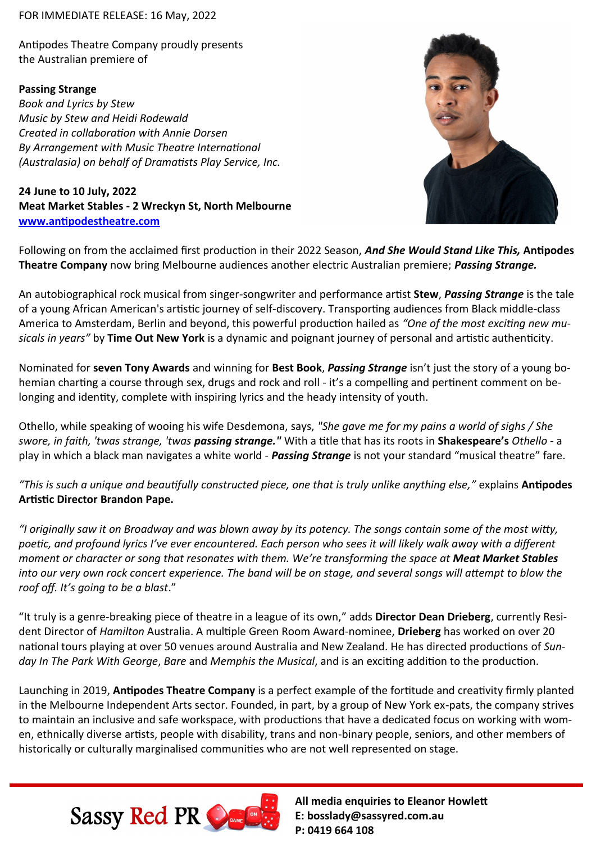## FOR IMMEDIATE RELEASE: 16 May, 2022

Antipodes Theatre Company proudly presents the Australian premiere of

## **Passing Strange**

*Book and Lyrics by Stew Music by Stew and Heidi Rodewald Created in collaboration with Annie Dorsen By Arrangement with Music Theatre International (Australasia) on behalf of Dramatists Play Service, Inc.*

**24 June to 10 July, 2022 Meat Market Stables - 2 Wreckyn St, North Melbourne [www.antipodestheatre.com](https://antipodestheatre.com/passing-strange)**



Following on from the acclaimed first production in their 2022 Season, *And She Would Stand Like This,* **Antipodes Theatre Company** now bring Melbourne audiences another electric Australian premiere; *Passing Strange.* 

An autobiographical rock musical from singer-songwriter and performance artist **Stew**, *Passing Strange* is the tale of a young African American's artistic journey of self-discovery. Transporting audiences from Black middle-class America to Amsterdam, Berlin and beyond, this powerful production hailed as *"One of the most exciting new musicals in years"* by **Time Out New York** is a dynamic and poignant journey of personal and artistic authenticity.

Nominated for **seven Tony Awards** and winning for **Best Book**, *Passing Strange* isn't just the story of a young bohemian charting a course through sex, drugs and rock and roll - it's a compelling and pertinent comment on belonging and identity, complete with inspiring lyrics and the heady intensity of youth.

Othello, while speaking of wooing his wife Desdemona, says, *"She gave me for my pains a world of sighs / She swore, in faith, 'twas strange, 'twas passing strange."* With a title that has its roots in **Shakespeare's** *Othello* - a play in which a black man navigates a white world - *Passing Strange* is not your standard "musical theatre" fare.

*"This is such a unique and beautifully constructed piece, one that is truly unlike anything else,"* explains **Antipodes Artistic Director Brandon Pape.**

*"I originally saw it on Broadway and was blown away by its potency. The songs contain some of the most witty, poetic, and profound lyrics I've ever encountered. Each person who sees it will likely walk away with a different moment or character or song that resonates with them. We're transforming the space at Meat Market Stables into our very own rock concert experience. The band will be on stage, and several songs will attempt to blow the roof off. It's going to be a blast*."

"It truly is a genre-breaking piece of theatre in a league of its own," adds **Director Dean Drieberg**, currently Resident Director of *Hamilton* Australia. A multiple Green Room Award-nominee, **Drieberg** has worked on over 20 national tours playing at over 50 venues around Australia and New Zealand. He has directed productions of *Sunday In The Park With George*, *Bare* and *Memphis the Musical*, and is an exciting addition to the production.

Launching in 2019, **Antipodes Theatre Company** is a perfect example of the fortitude and creativity firmly planted in the Melbourne Independent Arts sector. Founded, in part, by a group of New York ex-pats, the company strives to maintain an inclusive and safe workspace, with productions that have a dedicated focus on working with women, ethnically diverse artists, people with disability, trans and non-binary people, seniors, and other members of historically or culturally marginalised communities who are not well represented on stage.



**All media enquiries to Eleanor Howlett E: bosslady@sassyred.com.au P: 0419 664 108**